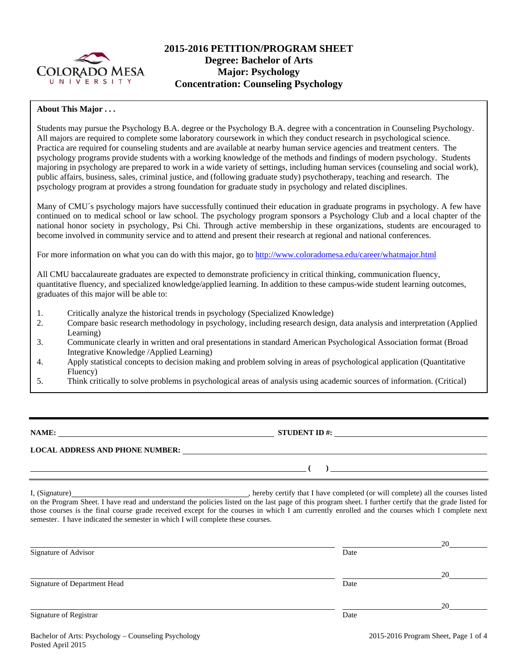

# **2015-2016 PETITION/PROGRAM SHEET Degree: Bachelor of Arts Major: Psychology Concentration: Counseling Psychology**

# **About This Major . . .**

Students may pursue the Psychology B.A. degree or the Psychology B.A. degree with a concentration in Counseling Psychology. All majors are required to complete some laboratory coursework in which they conduct research in psychological science. Practica are required for counseling students and are available at nearby human service agencies and treatment centers. The psychology programs provide students with a working knowledge of the methods and findings of modern psychology. Students majoring in psychology are prepared to work in a wide variety of settings, including human services (counseling and social work), public affairs, business, sales, criminal justice, and (following graduate study) psychotherapy, teaching and research. The psychology program at provides a strong foundation for graduate study in psychology and related disciplines.

Many of CMU´s psychology majors have successfully continued their education in graduate programs in psychology. A few have continued on to medical school or law school. The psychology program sponsors a Psychology Club and a local chapter of the national honor society in psychology, Psi Chi. Through active membership in these organizations, students are encouraged to become involved in community service and to attend and present their research at regional and national conferences.

For more information on what you can do with this major, go to http://www.coloradomesa.edu/career/whatmajor.html

All CMU baccalaureate graduates are expected to demonstrate proficiency in critical thinking, communication fluency, quantitative fluency, and specialized knowledge/applied learning. In addition to these campus-wide student learning outcomes, graduates of this major will be able to:

- 1. Critically analyze the historical trends in psychology (Specialized Knowledge)
- 2. Compare basic research methodology in psychology, including research design, data analysis and interpretation (Applied Learning)
- 3. Communicate clearly in written and oral presentations in standard American Psychological Association format (Broad Integrative Knowledge /Applied Learning)
- 4. Apply statistical concepts to decision making and problem solving in areas of psychological application (Quantitative Fluency)
- 5. Think critically to solve problems in psychological areas of analysis using academic sources of information. (Critical)

**NAME: STUDENT ID #: STUDENT ID #: STUDENT ID #: STUDENT ID #: STUDENT ID #: STUDENT ID #: STUDENT ID #: STUDENT ID #: STUDENT ID #: STUDENT ID #: STUDENT ID #: STUDENT ID #: STUDENT ID #: STUDE** 

## **LOCAL ADDRESS AND PHONE NUMBER:**

I, (Signature) , hereby certify that I have completed (or will complete) all the courses listed on the Program Sheet. I have read and understand the policies listed on the last page of this program sheet. I further certify that the grade listed for those courses is the final course grade received except for the courses in which I am currently enrolled and the courses which I complete next semester. I have indicated the semester in which I will complete these courses.

| Signature of Advisor         | Date | 20 |
|------------------------------|------|----|
|                              |      |    |
|                              |      | 20 |
| Signature of Department Head | Date |    |
|                              |      | 20 |
| Signature of Registrar       | Date |    |
|                              |      |    |

 **( )**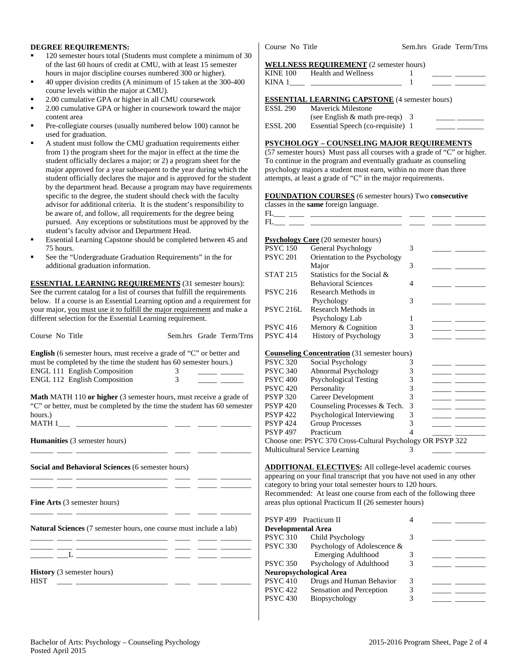### **DEGREE REQUIREMENTS:**

- 120 semester hours total (Students must complete a minimum of 30 of the last 60 hours of credit at CMU, with at least 15 semester hours in major discipline courses numbered 300 or higher).
- 40 upper division credits (A minimum of 15 taken at the 300-400 course levels within the major at CMU).
- 2.00 cumulative GPA or higher in all CMU coursework
- 2.00 cumulative GPA or higher in coursework toward the major content area
- Pre-collegiate courses (usually numbered below 100) cannot be used for graduation.
- A student must follow the CMU graduation requirements either from 1) the program sheet for the major in effect at the time the student officially declares a major; or 2) a program sheet for the major approved for a year subsequent to the year during which the student officially declares the major and is approved for the student by the department head. Because a program may have requirements specific to the degree, the student should check with the faculty advisor for additional criteria. It is the student's responsibility to be aware of, and follow, all requirements for the degree being pursued. Any exceptions or substitutions must be approved by the student's faculty advisor and Department Head.
- Essential Learning Capstone should be completed between 45 and 75 hours.
- See the "Undergraduate Graduation Requirements" in the for additional graduation information.

**ESSENTIAL LEARNING REQUIREMENTS** (31 semester hours): See the current catalog for a list of courses that fulfill the requirements below. If a course is an Essential Learning option and a requirement for your major, you must use it to fulfill the major requirement and make a different selection for the Essential Learning requirement.

| Course No Title                                                                                                                                                                  |   | Sem.hrs Grade Term/Trns | Р<br>P                       |
|----------------------------------------------------------------------------------------------------------------------------------------------------------------------------------|---|-------------------------|------------------------------|
| <b>English</b> (6 semester hours, must receive a grade of "C" or better and<br>must be completed by the time the student has 60 semester hours.)<br>ENGL 111 English Composition | 3 |                         | <u>C</u><br>P<br>$\mathbf P$ |
| ENGL 112 English Composition                                                                                                                                                     | 3 |                         | P                            |
| <b>Math MATH 110 or higher</b> (3 semester hours, must receive a grade of<br>"C" or better, must be completed by the time the student has 60 semester<br>hours.)                 |   |                         | P<br>P<br>P<br>P<br>P        |
| Humanities (3 semester hours)                                                                                                                                                    |   |                         | P<br>C<br>A                  |
| Social and Behavioral Sciences (6 semester hours)                                                                                                                                |   |                         | A<br>a<br>$\mathbf{C}$       |
| the control of the control of the control of<br><b>Fine Arts</b> (3 semester hours)                                                                                              |   |                         | R<br>a                       |
| <b>Natural Sciences</b> (7 semester hours, one course must include a lab)                                                                                                        |   |                         | P<br>D<br>P                  |
| <u> 1986 - Johann Barbara, martin amerikan ba</u><br>L<br><u> 1980 - Johann Barn, fransk politik (f. 1918)</u>                                                                   |   |                         | $\mathbf{P}$<br>P            |
| $\textbf{H}_{\text{other}}^{t}(2)$ comparison homes)                                                                                                                             |   |                         |                              |

**History** (3 semester hours) HIST \_\_\_\_ \_\_\_\_\_\_\_\_\_\_\_\_\_\_\_\_\_\_\_\_\_\_\_\_ \_\_\_\_ \_\_\_\_\_ \_\_\_\_\_\_\_\_

Course No Title Sem.hrs Grade Term/Trns

#### **WELLNESS REQUIREMENT** (2 semester hours)

|                     | KINE 100 Health and Wellness                          |  |
|---------------------|-------------------------------------------------------|--|
|                     | KINA $1$                                              |  |
|                     | <b>ESSENTIAL LEARNING CAPSTONE</b> (4 semester hours) |  |
|                     | ESSL 290 Mayerick Milestone                           |  |
|                     | (see English $&$ math pre-reqs) 3                     |  |
| ESSL <sub>200</sub> | Essential Speech (co-requisite) 1                     |  |

### **PSYCHOLOGY – COUNSELING MAJOR REQUIREMENTS**

(57 semester hours) Must pass all courses with a grade of "C" or higher. To continue in the program and eventually graduate as counseling psychology majors a student must earn, within no more than three attempts, at least a grade of "C" in the major requirements.

### **FOUNDATION COURSES** (6 semester hours) Two **consecutive**

|                  | <b>Psychology Core</b> (20 semester hours)                 |                          |                                                                                                                         |
|------------------|------------------------------------------------------------|--------------------------|-------------------------------------------------------------------------------------------------------------------------|
| <b>PSYC 150</b>  | General Psychology                                         | 3                        |                                                                                                                         |
| <b>PSYC 201</b>  | Orientation to the Psychology                              |                          |                                                                                                                         |
|                  | Major                                                      | 3                        |                                                                                                                         |
| <b>STAT 215</b>  | Statistics for the Social &                                |                          |                                                                                                                         |
|                  | <b>Behavioral Sciences</b>                                 | 4                        |                                                                                                                         |
| <b>PSYC 216</b>  | Research Methods in                                        |                          |                                                                                                                         |
|                  | Psychology                                                 | 3                        |                                                                                                                         |
| <b>PSYC 216L</b> | Research Methods in                                        |                          |                                                                                                                         |
|                  | Psychology Lab                                             | 1                        |                                                                                                                         |
| <b>PSYC 416</b>  | Memory & Cognition                                         | 3                        | <u> The Common School (1989) and the Common School (1989) and the Common School (1989) and the Common School (1989)</u> |
| <b>PSYC 414</b>  | <b>History of Psychology</b>                               | 3                        | <u> 1989 - Andrea Station Books, american provident all</u>                                                             |
|                  |                                                            |                          |                                                                                                                         |
|                  | <b>Counseling Concentration</b> (31 semester hours)        |                          |                                                                                                                         |
| <b>PSYC 320</b>  | Social Psychology                                          | 3                        |                                                                                                                         |
| <b>PSYC 340</b>  | Abnormal Psychology                                        | 3                        |                                                                                                                         |
| <b>PSYC 400</b>  | <b>Psychological Testing</b>                               | 3                        |                                                                                                                         |
| <b>PSYC 420</b>  | Personality                                                | 3                        |                                                                                                                         |
| <b>PSYP 320</b>  | Career Development                                         | 3                        | <u> De Barbara (Barbara Barbara)</u>                                                                                    |
| <b>PSYP 420</b>  | Counseling Processes & Tech.                               | 3                        |                                                                                                                         |
| <b>PSYP 422</b>  | Psychological Interviewing                                 | 3                        |                                                                                                                         |
| <b>PSYP 424</b>  | <b>Group Processes</b>                                     | 3                        | <u> The Common School and The Common School and The Common School and The Common School and The Common School and</u>   |
| <b>PSYP 497</b>  | Practicum                                                  | $\overline{\mathcal{A}}$ |                                                                                                                         |
|                  | Choose one: PSYC 370 Cross-Cultural Psychology OR PSYP 322 |                          |                                                                                                                         |
|                  | Multicultural Service Learning                             | $\mathcal{R}$            |                                                                                                                         |

**ADDITIONAL ELECTIVES:** All college-level academic courses ppearing on your final transcript that you have not used in any other ategory to bring your total semester hours to 120 hours. Recommended: At least one course from each of the following three reas plus optional Practicum II (26 semester hours)

|                           | PSYP 499 Practicum II          |   |  |
|---------------------------|--------------------------------|---|--|
| <b>Developmental Area</b> |                                |   |  |
| <b>PSYC 310</b>           | Child Psychology               |   |  |
| <b>PSYC 330</b>           | Psychology of Adolescence &    |   |  |
|                           | Emerging Adulthood             |   |  |
| <b>PSYC 350</b>           | Psychology of Adulthood        | 3 |  |
|                           | <b>Neuropsychological Area</b> |   |  |
| <b>PSYC 410</b>           | Drugs and Human Behavior       | 3 |  |
| <b>PSYC 422</b>           | Sensation and Perception       | 3 |  |
| <b>PSYC 430</b>           | Biopsychology                  | 3 |  |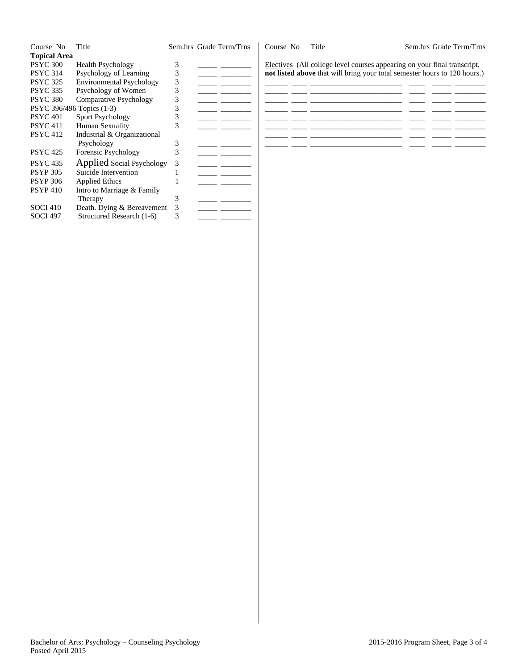| Course No                 | Title                           |   | Sem.hrs Grade Term/Trns | Course No | Title                                                                     | Sem.hrs Grade Term/Trns |
|---------------------------|---------------------------------|---|-------------------------|-----------|---------------------------------------------------------------------------|-------------------------|
| <b>Topical Area</b>       |                                 |   |                         |           |                                                                           |                         |
| <b>PSYC 300</b>           | <b>Health Psychology</b>        |   |                         |           | Electives (All college level courses appearing on your final transcript,  |                         |
| <b>PSYC 314</b>           | Psychology of Learning          |   |                         |           | not listed above that will bring your total semester hours to 120 hours.) |                         |
| <b>PSYC 325</b>           | <b>Environmental Psychology</b> | 3 |                         |           |                                                                           |                         |
| <b>PSYC 335</b>           | Psychology of Women             |   |                         |           |                                                                           |                         |
| <b>PSYC 380</b>           | <b>Comparative Psychology</b>   |   |                         |           |                                                                           |                         |
| PSYC 396/496 Topics (1-3) |                                 |   |                         |           |                                                                           |                         |
| <b>PSYC 401</b>           | <b>Sport Psychology</b>         |   |                         |           |                                                                           |                         |
| <b>PSYC</b> 411           | Human Sexuality                 |   |                         |           |                                                                           |                         |
| <b>PSYC 412</b>           | Industrial & Organizational     |   |                         |           |                                                                           |                         |
|                           | Psychology                      | 3 |                         |           |                                                                           |                         |
| <b>PSYC 425</b>           | Forensic Psychology             | 3 |                         |           |                                                                           |                         |
| <b>PSYC 435</b>           | Applied Social Psychology       | 3 |                         |           |                                                                           |                         |
| <b>PSYP 305</b>           | Suicide Intervention            |   |                         |           |                                                                           |                         |
| <b>PSYP 306</b>           | Applied Ethics                  |   |                         |           |                                                                           |                         |
| <b>PSYP410</b>            | Intro to Marriage & Family      |   |                         |           |                                                                           |                         |
|                           | Therapy                         |   |                         |           |                                                                           |                         |
| <b>SOCI 410</b>           | Death. Dying & Bereavement      |   |                         |           |                                                                           |                         |
| <b>SOCI 497</b>           | Structured Research (1-6)       |   |                         |           |                                                                           |                         |